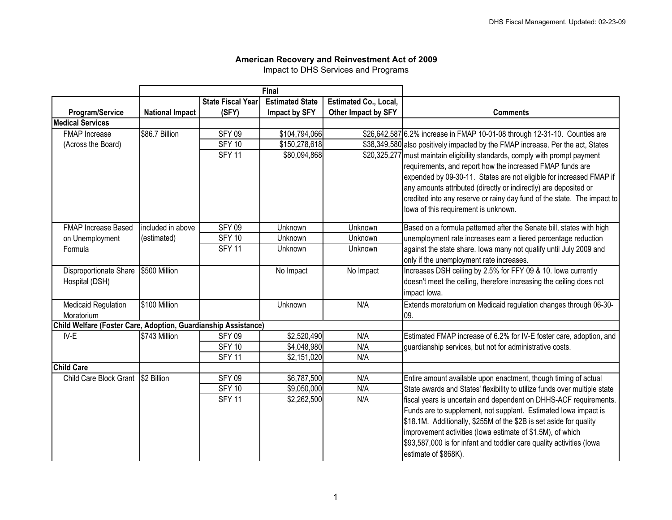## **American Recovery and Reinvestment Act of 2009**

Impact to DHS Services and Programs

|                                                                |                        |                          | Final                  |                       |                                                                                 |
|----------------------------------------------------------------|------------------------|--------------------------|------------------------|-----------------------|---------------------------------------------------------------------------------|
|                                                                |                        | <b>State Fiscal Year</b> | <b>Estimated State</b> | Estimated Co., Local, |                                                                                 |
| <b>Program/Service</b>                                         | <b>National Impact</b> | (SFY)                    | Impact by SFY          | Other Impact by SFY   | <b>Comments</b>                                                                 |
| <b>Medical Services</b>                                        |                        |                          |                        |                       |                                                                                 |
| <b>FMAP</b> Increase                                           | \$86.7 Billion         | <b>SFY 09</b>            | \$104,794,066          |                       | \$26,642,587 6.2% increase in FMAP 10-01-08 through 12-31-10. Counties are      |
| (Across the Board)                                             |                        | <b>SFY 10</b>            | \$150,278,618          |                       | \$38,349,580 also positively impacted by the FMAP increase. Per the act, States |
|                                                                |                        | <b>SFY 11</b>            | \$80,094,868           |                       | \$20,325,277 must maintain eligibility standards, comply with prompt payment    |
|                                                                |                        |                          |                        |                       | requirements, and report how the increased FMAP funds are                       |
|                                                                |                        |                          |                        |                       | expended by 09-30-11. States are not eligible for increased FMAP if             |
|                                                                |                        |                          |                        |                       | any amounts attributed (directly or indirectly) are deposited or                |
|                                                                |                        |                          |                        |                       | credited into any reserve or rainy day fund of the state. The impact to         |
|                                                                |                        |                          |                        |                       | lowa of this requirement is unknown.                                            |
| FMAP Increase Based                                            | included in above      | <b>SFY 09</b>            | Unknown                | Unknown               | Based on a formula patterned after the Senate bill, states with high            |
| on Unemployment                                                | (estimated)            | <b>SFY 10</b>            | Unknown                | Unknown               | unemployment rate increases earn a tiered percentage reduction                  |
| Formula                                                        |                        | <b>SFY 11</b>            | <b>Unknown</b>         | Unknown               | against the state share. Iowa many not qualify until July 2009 and              |
|                                                                |                        |                          |                        |                       | only if the unemployment rate increases.                                        |
| Disproportionate Share                                         | \$500 Million          |                          | No Impact              | No Impact             | Increases DSH ceiling by 2.5% for FFY 09 & 10. Iowa currently                   |
| Hospital (DSH)                                                 |                        |                          |                        |                       | doesn't meet the ceiling, therefore increasing the ceiling does not             |
|                                                                |                        |                          |                        |                       | impact lowa.                                                                    |
| <b>Medicaid Regulation</b>                                     | \$100 Million          |                          | Unknown                | N/A                   | Extends moratorium on Medicaid regulation changes through 06-30-                |
| Moratorium                                                     |                        |                          |                        |                       | 09.                                                                             |
| Child Welfare (Foster Care, Adoption, Guardianship Assistance) |                        |                          |                        |                       |                                                                                 |
| IV-E                                                           | \$743 Million          | <b>SFY 09</b>            | \$2,520,490            | N/A                   | Estimated FMAP increase of 6.2% for IV-E foster care, adoption, and             |
|                                                                |                        | <b>SFY 10</b>            | \$4,048,980            | N/A                   | guardianship services, but not for administrative costs.                        |
|                                                                |                        | <b>SFY 11</b>            | \$2,151,020            | N/A                   |                                                                                 |
| <b>Child Care</b>                                              |                        |                          |                        |                       |                                                                                 |
| Child Care Block Grant 52 Billion                              |                        | <b>SFY 09</b>            | \$6,787,500            | N/A                   | Entire amount available upon enactment, though timing of actual                 |
|                                                                |                        | <b>SFY 10</b>            | \$9,050,000            | N/A                   | State awards and States' flexibility to utilize funds over multiple state       |
|                                                                |                        | <b>SFY 11</b>            | \$2,262,500            | N/A                   | fiscal years is uncertain and dependent on DHHS-ACF requirements.               |
|                                                                |                        |                          |                        |                       | Funds are to supplement, not supplant. Estimated lowa impact is                 |
|                                                                |                        |                          |                        |                       | \$18.1M. Additionally, \$255M of the \$2B is set aside for quality              |
|                                                                |                        |                          |                        |                       | improvement activities (lowa estimate of \$1.5M), of which                      |
|                                                                |                        |                          |                        |                       | \$93,587,000 is for infant and toddler care quality activities (lowa            |
|                                                                |                        |                          |                        |                       | estimate of \$868K).                                                            |